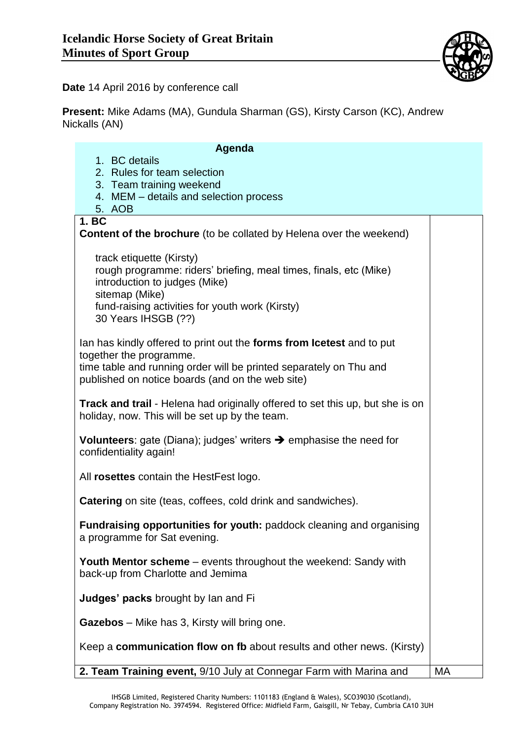

**Date** 14 April 2016 by conference call

**Present:** Mike Adams (MA), Gundula Sharman (GS), Kirsty Carson (KC), Andrew Nickalls (AN)

| Agenda                                                                                                                                                                                              |
|-----------------------------------------------------------------------------------------------------------------------------------------------------------------------------------------------------|
| 1. BC details<br>2. Rules for team selection                                                                                                                                                        |
| 3. Team training weekend                                                                                                                                                                            |
| 4. MEM – details and selection process<br>5. AOB                                                                                                                                                    |
| 1. BC                                                                                                                                                                                               |
| <b>Content of the brochure</b> (to be collated by Helena over the weekend)                                                                                                                          |
| track etiquette (Kirsty)<br>rough programme: riders' briefing, meal times, finals, etc (Mike)<br>introduction to judges (Mike)<br>sitemap (Mike)<br>fund-raising activities for youth work (Kirsty) |
| 30 Years IHSGB (??)                                                                                                                                                                                 |
| lan has kindly offered to print out the forms from Icetest and to put                                                                                                                               |
| together the programme.<br>time table and running order will be printed separately on Thu and<br>published on notice boards (and on the web site)                                                   |
| <b>Track and trail</b> - Helena had originally offered to set this up, but she is on<br>holiday, now. This will be set up by the team.                                                              |
| <b>Volunteers:</b> gate (Diana); judges' writers $\rightarrow$ emphasise the need for<br>confidentiality again!                                                                                     |
| All rosettes contain the HestFest logo.                                                                                                                                                             |
| <b>Catering</b> on site (teas, coffees, cold drink and sandwiches).                                                                                                                                 |
| <b>Fundraising opportunities for youth: paddock cleaning and organising</b><br>a programme for Sat evening.                                                                                         |
| <b>Youth Mentor scheme</b> – events throughout the weekend: Sandy with<br>back-up from Charlotte and Jemima                                                                                         |
| <b>Judges' packs</b> brought by lan and Fi                                                                                                                                                          |
| <b>Gazebos</b> – Mike has 3, Kirsty will bring one.                                                                                                                                                 |
| Keep a communication flow on fb about results and other news. (Kirsty)                                                                                                                              |